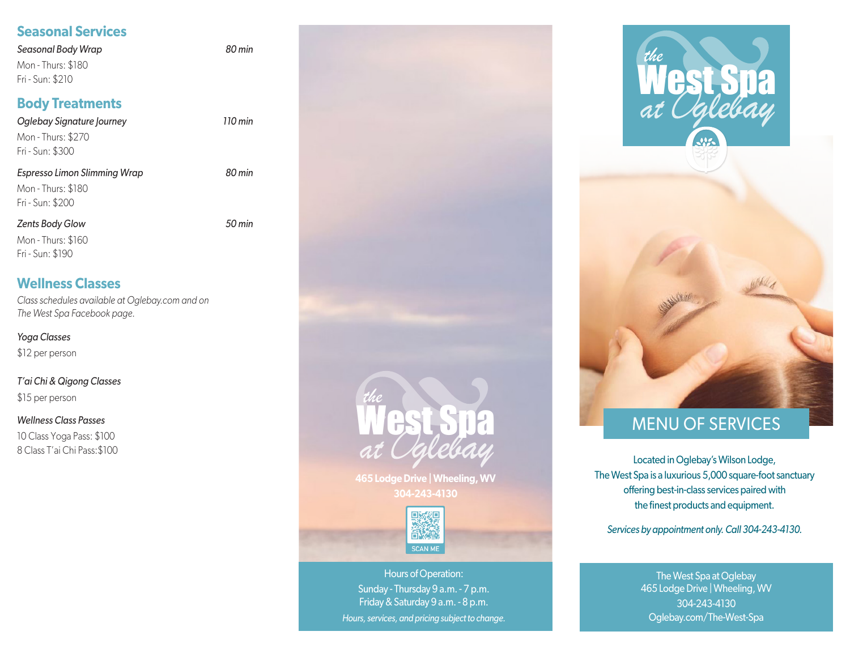# **Seasonal Services**

*Seasonal Body Wrap 80 min* Mon - Thurs: \$180 Fri - Sun: \$210

# **Body Treatments**

| 110 min |
|---------|
|         |
| 80 min  |
|         |
| 50 min  |
|         |
|         |

### **Wellness Classes**

*Class schedules available at Oglebay.com and on The West Spa Facebook page.* 

*Yoga Classes* \$12 per person

### *T'ai Chi & Qigong Classes*

\$15 per person

#### *Wellness Class Passes*

10 Class Yoga Pass: \$100 8 Class T'ai Chi Pass:\$100



**465 Lodge Drive | Wheeling, WV 304-243-4130**



Hours of Operation: Sunday - Thursday 9 a.m. - 7 p.m. Friday & Saturday 9 a.m. - 8 p.m. *Hours, services, and pricing subject to change.*



# MENU OF SERVICES

Located in Oglebay's Wilson Lodge, The West Spa is a luxurious 5,000 square-foot sanctuary offering best-in-class services paired with the finest products and equipment.

*Services by appointment only. Call 304-243-4130.*

The West Spa at Oglebay 465 Lodge Drive | Wheeling, WV 304-243-4130 Oglebay.com/The-West-Spa